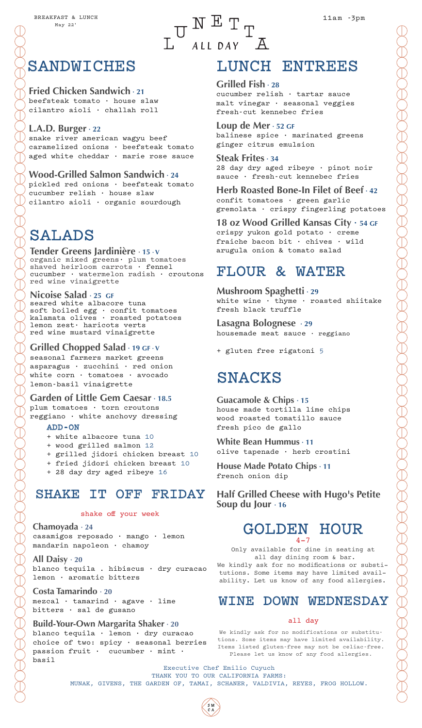#### **Fried Chicken Sandwich · 21** beefsteak tomato · house slaw

cilantro aioli · challah roll

**L.A.D. Burger · 22** snake river american wagyu beef caramelized onions · beefsteak tomato aged white cheddar · marie rose sauce

**Wood-Grilled Salmon Sandwich · 24** pickled red onions · beefsteak tomato cucumber relish · house slaw cilantro aioli · organic sourdough

# SALADS

**Tender Greens Jardinière · 15 · V** organic mixed greens· plum tomatoes shaved heirloom carrots · fennel cucumber · watermelon radish · croutons red wine vinaigrette

### **Nicoise Salad · 25 GF**

seared white albacore tuna soft boiled egg · confit tomatoes kalamata olives · roasted potatoes lemon zest· haricots verts red wine mustard vinaigrette

### **Grilled Chopped Salad · 19 GF · V**

seasonal farmers market greens asparagus · zucchini · red onion white corn · tomatoes · avocado lemon-basil vinaigrette

**Garden of Little Gem Caesar · 18.5**

plum tomatoes · torn croutons reggiano · white anchovy dressing

### ADD-ON

- + white albacore tuna 10
- + wood grilled salmon 12
- + grilled jidori chicken breast 10
- + fried jidori chicken breast 10
- + 28 day dry aged ribeye 16

### SHAKE IT OFF FRIDAY

### shake off your week

**Chamoyada · 24** casamigos reposado · mango · lemon mandarin napoleon · chamoy

**All Daisy · 20** blanco tequila . hibiscus · dry curacao lemon · aromatic bitters

**Costa Tamarindo · 20** mezcal · tamarind · agave · lime bitters · sal de gusano

### **Build-Your-Own Margarita Shaker · 20**

blanco tequila · lemon · dry curacao choice of two: spicy · seasonal berries passion fruit  $\cdot$  cucumber  $\cdot$  mint  $\cdot$ basil

# LUNCH ENTREES

### **Grilled Fish · 28**

 $\begin{array}{ccccccc}\n & & \textbf{W} & \textbf{E} & \textbf{T} & \textbf{T} & \textbf{T} & \textbf{T} & \textbf{T} & \textbf{M} & \textbf{M} & \textbf{M} & \textbf{M} & \textbf{M} & \textbf{M} & \textbf{M} & \textbf{M} & \textbf{M} & \textbf{M} & \textbf{M} & \textbf{M} & \textbf{M} & \textbf{M} & \textbf{M} & \textbf{M} & \textbf{M} & \textbf{M} & \textbf{M} & \textbf{M} & \textbf{M} & \textbf{M} & \textbf{M} & \textbf{$ 

ALL DAY A

cucumber relish · tartar sauce malt vinegar · seasonal veggies fresh-cut kennebec fries

**Loup de Mer · 52 GF** balinese spice · marinated greens ginger citrus emulsion

**Steak Frites · 34** 28 day dry aged ribeye · pinot noir sauce · fresh-cut kennebec fries

**Herb Roasted Bone-In Filet of Beef · 42**  confit tomatoes · green garlic gremolata · crispy fingerling potatoes

**18 oz Wood Grilled Kansas City · 54 GF**

crispy yukon gold potato · creme fraiche bacon bit · chives · wild arugula onion & tomato salad

# FLOUR & WATER

**Mushroom Spaghetti · 29** white wine · thyme · roasted shiitake fresh black truffle

**Lasagna Bolognese · 29** housemade meat sauce  $\cdot$  reggiano

+ gluten free rigatoni 5

# SNACKS

**Guacamole & Chips · 15** house made tortilla lime chips wood roasted tomatillo sauce fresh pico de gallo

**White Bean Hummus · 11** olive tapenade · herb crostini

**House Made Potato Chips · 11** french onion dip

**Half Grilled Cheese with Hugo's Petite Soup du Jour · 16**

### GOLDEN HOUR  $4 - 7$

Only available for dine in seating at all day dining room & bar. We kindly ask for no modifications or substitutions. Some items may have limited availability. Let us know of any food allergies.

# WINE DOWN WEDNESDAY

### all day

We kindly ask for no modifications or substitutions. Some items may have limited availability. Items listed gluten-free may not be celiac-free. Please let us know of any food allergies.

Executive Chef Emilio Cuyuch THANK YOU TO OUR CALIFORNIA FARMS: MUNAK, GIVENS, THE GARDEN OF, TAMAI, SCHANER, VALDIVIA, REYES, FROG HOLLOW.